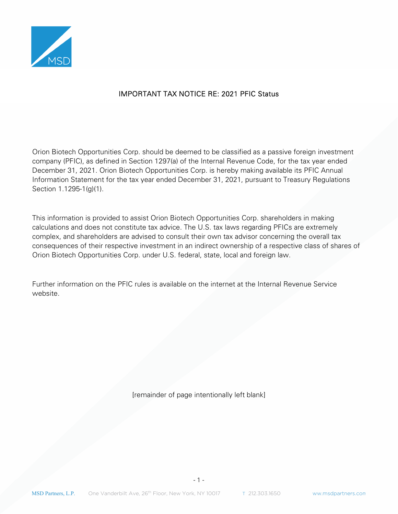

## IMPORTANT TAX NOTICE RE: 2021 PFIC Status

Orion Biotech Opportunities Corp. should be deemed to be classified as a passive foreign investment company (PFIC), as defined in Section 1297(a) of the Internal Revenue Code, for the tax year ended December 31, 2021. Orion Biotech Opportunities Corp. is hereby making available its PFIC Annual Information Statement for the tax year ended December 31, 2021, pursuant to Treasury Regulations Section 1.1295-1(g)(1).

This information is provided to assist Orion Biotech Opportunities Corp. shareholders in making calculations and does not constitute tax advice. The U.S. tax laws regarding PFICs are extremely complex, and shareholders are advised to consult their own tax advisor concerning the overall tax consequences of their respective investment in an indirect ownership of a respective class of shares of Orion Biotech Opportunities Corp. under U.S. federal, state, local and foreign law.

Further information on the PFIC rules is available on the internet at the Internal Revenue Service website.

[remainder of page intentionally left blank]